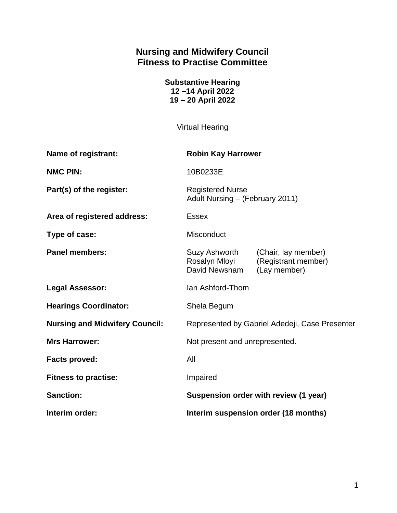# **Nursing and Midwifery Council Fitness to Practise Committee**

**Substantive Hearing 12 –14 April 2022 19 – 20 April 2022**

Virtual Hearing

| <b>Name of registrant:</b>            | <b>Robin Kay Harrower</b>                                  |                                                            |
|---------------------------------------|------------------------------------------------------------|------------------------------------------------------------|
| <b>NMC PIN:</b>                       | 10B0233E                                                   |                                                            |
| Part(s) of the register:              | <b>Registered Nurse</b><br>Adult Nursing - (February 2011) |                                                            |
| Area of registered address:           | <b>Essex</b>                                               |                                                            |
| Type of case:                         | <b>Misconduct</b>                                          |                                                            |
| <b>Panel members:</b>                 | Suzy Ashworth<br>Rosalyn Mloyi<br>David Newsham            | (Chair, lay member)<br>(Registrant member)<br>(Lay member) |
| <b>Legal Assessor:</b>                | Ian Ashford-Thom                                           |                                                            |
| <b>Hearings Coordinator:</b>          | Shela Begum                                                |                                                            |
| <b>Nursing and Midwifery Council:</b> | Represented by Gabriel Adedeji, Case Presenter             |                                                            |
| <b>Mrs Harrower:</b>                  | Not present and unrepresented.                             |                                                            |
| <b>Facts proved:</b>                  | All                                                        |                                                            |
| <b>Fitness to practise:</b>           | Impaired                                                   |                                                            |
| <b>Sanction:</b>                      | Suspension order with review (1 year)                      |                                                            |
| Interim order:                        | Interim suspension order (18 months)                       |                                                            |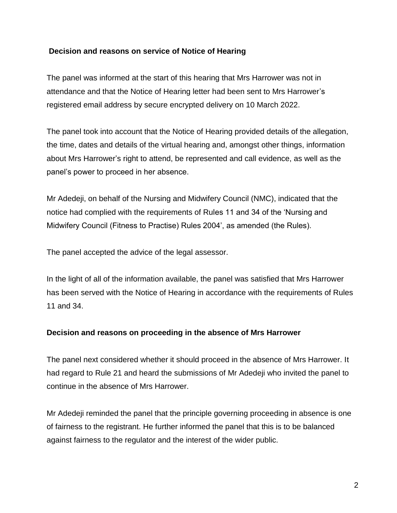#### **Decision and reasons on service of Notice of Hearing**

The panel was informed at the start of this hearing that Mrs Harrower was not in attendance and that the Notice of Hearing letter had been sent to Mrs Harrower's registered email address by secure encrypted delivery on 10 March 2022.

The panel took into account that the Notice of Hearing provided details of the allegation, the time, dates and details of the virtual hearing and, amongst other things, information about Mrs Harrower's right to attend, be represented and call evidence, as well as the panel's power to proceed in her absence.

Mr Adedeji, on behalf of the Nursing and Midwifery Council (NMC), indicated that the notice had complied with the requirements of Rules 11 and 34 of the 'Nursing and Midwifery Council (Fitness to Practise) Rules 2004', as amended (the Rules).

The panel accepted the advice of the legal assessor.

In the light of all of the information available, the panel was satisfied that Mrs Harrower has been served with the Notice of Hearing in accordance with the requirements of Rules 11 and 34.

#### **Decision and reasons on proceeding in the absence of Mrs Harrower**

The panel next considered whether it should proceed in the absence of Mrs Harrower. It had regard to Rule 21 and heard the submissions of Mr Adedeji who invited the panel to continue in the absence of Mrs Harrower.

Mr Adedeji reminded the panel that the principle governing proceeding in absence is one of fairness to the registrant. He further informed the panel that this is to be balanced against fairness to the regulator and the interest of the wider public.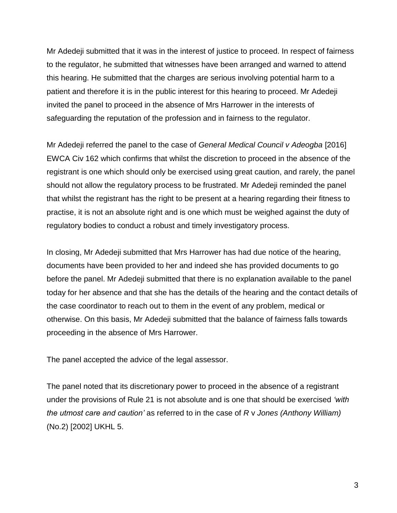Mr Adedeji submitted that it was in the interest of justice to proceed. In respect of fairness to the regulator, he submitted that witnesses have been arranged and warned to attend this hearing. He submitted that the charges are serious involving potential harm to a patient and therefore it is in the public interest for this hearing to proceed. Mr Adedeji invited the panel to proceed in the absence of Mrs Harrower in the interests of safeguarding the reputation of the profession and in fairness to the regulator.

Mr Adedeji referred the panel to the case of *General Medical Council v Adeogba* [2016] EWCA Civ 162 which confirms that whilst the discretion to proceed in the absence of the registrant is one which should only be exercised using great caution, and rarely, the panel should not allow the regulatory process to be frustrated. Mr Adedeji reminded the panel that whilst the registrant has the right to be present at a hearing regarding their fitness to practise, it is not an absolute right and is one which must be weighed against the duty of regulatory bodies to conduct a robust and timely investigatory process.

In closing, Mr Adedeji submitted that Mrs Harrower has had due notice of the hearing, documents have been provided to her and indeed she has provided documents to go before the panel. Mr Adedeji submitted that there is no explanation available to the panel today for her absence and that she has the details of the hearing and the contact details of the case coordinator to reach out to them in the event of any problem, medical or otherwise. On this basis, Mr Adedeji submitted that the balance of fairness falls towards proceeding in the absence of Mrs Harrower.

The panel accepted the advice of the legal assessor.

The panel noted that its discretionary power to proceed in the absence of a registrant under the provisions of Rule 21 is not absolute and is one that should be exercised *'with the utmost care and caution'* as referred to in the case of *R* v *Jones (Anthony William)* (No.2) [2002] UKHL 5.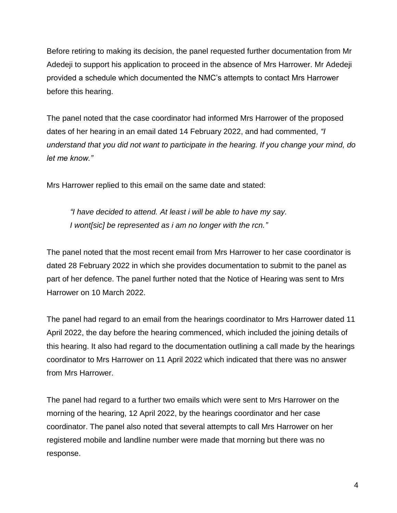Before retiring to making its decision, the panel requested further documentation from Mr Adedeji to support his application to proceed in the absence of Mrs Harrower. Mr Adedeji provided a schedule which documented the NMC's attempts to contact Mrs Harrower before this hearing.

The panel noted that the case coordinator had informed Mrs Harrower of the proposed dates of her hearing in an email dated 14 February 2022, and had commented, *"I understand that you did not want to participate in the hearing. If you change your mind, do let me know."*

Mrs Harrower replied to this email on the same date and stated:

*"I have decided to attend. At least i will be able to have my say. I wont[sic] be represented as i am no longer with the rcn."*

The panel noted that the most recent email from Mrs Harrower to her case coordinator is dated 28 February 2022 in which she provides documentation to submit to the panel as part of her defence. The panel further noted that the Notice of Hearing was sent to Mrs Harrower on 10 March 2022.

The panel had regard to an email from the hearings coordinator to Mrs Harrower dated 11 April 2022, the day before the hearing commenced, which included the joining details of this hearing. It also had regard to the documentation outlining a call made by the hearings coordinator to Mrs Harrower on 11 April 2022 which indicated that there was no answer from Mrs Harrower.

The panel had regard to a further two emails which were sent to Mrs Harrower on the morning of the hearing, 12 April 2022, by the hearings coordinator and her case coordinator. The panel also noted that several attempts to call Mrs Harrower on her registered mobile and landline number were made that morning but there was no response.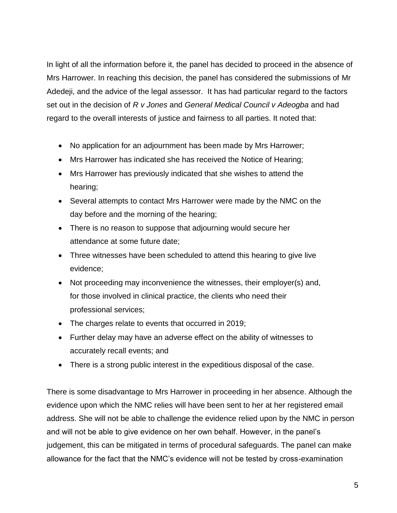In light of all the information before it, the panel has decided to proceed in the absence of Mrs Harrower. In reaching this decision, the panel has considered the submissions of Mr Adedeji, and the advice of the legal assessor. It has had particular regard to the factors set out in the decision of *R v Jones* and *General Medical Council v Adeogba* and had regard to the overall interests of justice and fairness to all parties. It noted that:

- No application for an adjournment has been made by Mrs Harrower;
- Mrs Harrower has indicated she has received the Notice of Hearing;
- Mrs Harrower has previously indicated that she wishes to attend the hearing;
- Several attempts to contact Mrs Harrower were made by the NMC on the day before and the morning of the hearing;
- There is no reason to suppose that adjourning would secure her attendance at some future date;
- Three witnesses have been scheduled to attend this hearing to give live evidence;
- Not proceeding may inconvenience the witnesses, their employer(s) and, for those involved in clinical practice, the clients who need their professional services;
- The charges relate to events that occurred in 2019;
- Further delay may have an adverse effect on the ability of witnesses to accurately recall events; and
- There is a strong public interest in the expeditious disposal of the case.

There is some disadvantage to Mrs Harrower in proceeding in her absence. Although the evidence upon which the NMC relies will have been sent to her at her registered email address. She will not be able to challenge the evidence relied upon by the NMC in person and will not be able to give evidence on her own behalf. However, in the panel's judgement, this can be mitigated in terms of procedural safeguards. The panel can make allowance for the fact that the NMC's evidence will not be tested by cross-examination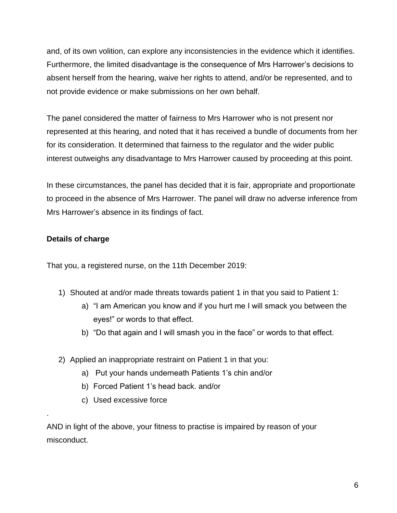and, of its own volition, can explore any inconsistencies in the evidence which it identifies. Furthermore, the limited disadvantage is the consequence of Mrs Harrower's decisions to absent herself from the hearing, waive her rights to attend, and/or be represented, and to not provide evidence or make submissions on her own behalf.

The panel considered the matter of fairness to Mrs Harrower who is not present nor represented at this hearing, and noted that it has received a bundle of documents from her for its consideration. It determined that fairness to the regulator and the wider public interest outweighs any disadvantage to Mrs Harrower caused by proceeding at this point.

In these circumstances, the panel has decided that it is fair, appropriate and proportionate to proceed in the absence of Mrs Harrower. The panel will draw no adverse inference from Mrs Harrower's absence in its findings of fact.

## **Details of charge**

.

That you, a registered nurse, on the 11th December 2019:

- 1) Shouted at and/or made threats towards patient 1 in that you said to Patient 1:
	- a) "I am American you know and if you hurt me I will smack you between the eyes!" or words to that effect.
	- b) "Do that again and I will smash you in the face" or words to that effect.
- 2) Applied an inappropriate restraint on Patient 1 in that you:
	- a) Put your hands underneath Patients 1's chin and/or
	- b) Forced Patient 1's head back. and/or
	- c) Used excessive force

AND in light of the above, your fitness to practise is impaired by reason of your misconduct.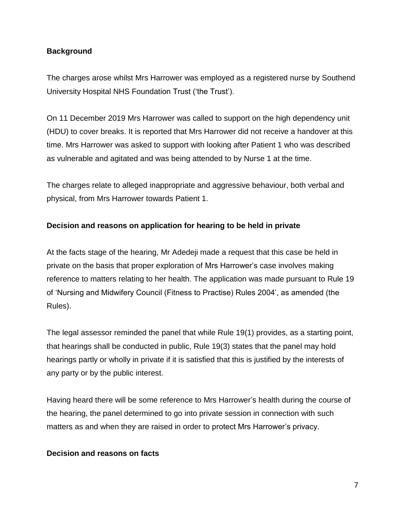#### **Background**

The charges arose whilst Mrs Harrower was employed as a registered nurse by Southend University Hospital NHS Foundation Trust ('the Trust').

On 11 December 2019 Mrs Harrower was called to support on the high dependency unit (HDU) to cover breaks. It is reported that Mrs Harrower did not receive a handover at this time. Mrs Harrower was asked to support with looking after Patient 1 who was described as vulnerable and agitated and was being attended to by Nurse 1 at the time.

The charges relate to alleged inappropriate and aggressive behaviour, both verbal and physical, from Mrs Harrower towards Patient 1.

### **Decision and reasons on application for hearing to be held in private**

At the facts stage of the hearing, Mr Adedeji made a request that this case be held in private on the basis that proper exploration of Mrs Harrower's case involves making reference to matters relating to her health. The application was made pursuant to Rule 19 of 'Nursing and Midwifery Council (Fitness to Practise) Rules 2004', as amended (the Rules).

The legal assessor reminded the panel that while Rule 19(1) provides, as a starting point, that hearings shall be conducted in public, Rule 19(3) states that the panel may hold hearings partly or wholly in private if it is satisfied that this is justified by the interests of any party or by the public interest.

Having heard there will be some reference to Mrs Harrower's health during the course of the hearing, the panel determined to go into private session in connection with such matters as and when they are raised in order to protect Mrs Harrower's privacy.

#### **Decision and reasons on facts**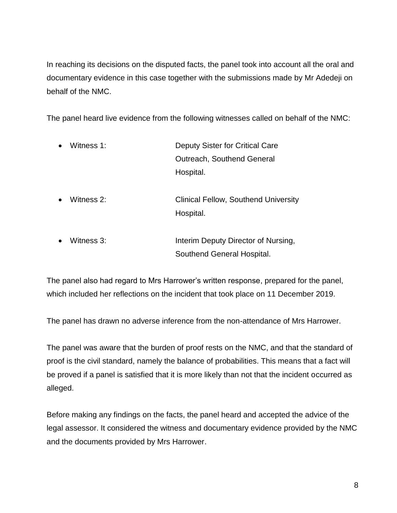In reaching its decisions on the disputed facts, the panel took into account all the oral and documentary evidence in this case together with the submissions made by Mr Adedeji on behalf of the NMC.

The panel heard live evidence from the following witnesses called on behalf of the NMC:

- Witness 1: Deputy Sister for Critical Care Outreach, Southend General Hospital.
- Witness 2: Clinical Fellow, Southend University Hospital.
- Witness 3: Interim Deputy Director of Nursing, Southend General Hospital.

The panel also had regard to Mrs Harrower's written response, prepared for the panel, which included her reflections on the incident that took place on 11 December 2019.

The panel has drawn no adverse inference from the non-attendance of Mrs Harrower.

The panel was aware that the burden of proof rests on the NMC, and that the standard of proof is the civil standard, namely the balance of probabilities. This means that a fact will be proved if a panel is satisfied that it is more likely than not that the incident occurred as alleged.

Before making any findings on the facts, the panel heard and accepted the advice of the legal assessor. It considered the witness and documentary evidence provided by the NMC and the documents provided by Mrs Harrower.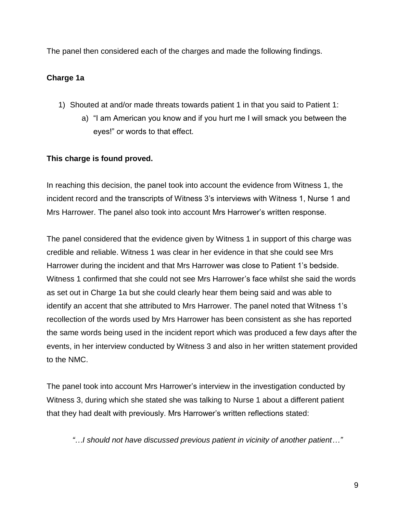The panel then considered each of the charges and made the following findings.

### **Charge 1a**

- 1) Shouted at and/or made threats towards patient 1 in that you said to Patient 1:
	- a) "I am American you know and if you hurt me I will smack you between the eyes!" or words to that effect.

### **This charge is found proved.**

In reaching this decision, the panel took into account the evidence from Witness 1, the incident record and the transcripts of Witness 3's interviews with Witness 1, Nurse 1 and Mrs Harrower. The panel also took into account Mrs Harrower's written response.

The panel considered that the evidence given by Witness 1 in support of this charge was credible and reliable. Witness 1 was clear in her evidence in that she could see Mrs Harrower during the incident and that Mrs Harrower was close to Patient 1's bedside. Witness 1 confirmed that she could not see Mrs Harrower's face whilst she said the words as set out in Charge 1a but she could clearly hear them being said and was able to identify an accent that she attributed to Mrs Harrower. The panel noted that Witness 1's recollection of the words used by Mrs Harrower has been consistent as she has reported the same words being used in the incident report which was produced a few days after the events, in her interview conducted by Witness 3 and also in her written statement provided to the NMC.

The panel took into account Mrs Harrower's interview in the investigation conducted by Witness 3, during which she stated she was talking to Nurse 1 about a different patient that they had dealt with previously. Mrs Harrower's written reflections stated:

*"…I should not have discussed previous patient in vicinity of another patient…"*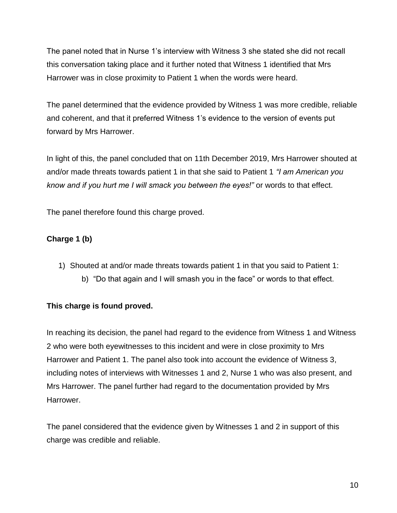The panel noted that in Nurse 1's interview with Witness 3 she stated she did not recall this conversation taking place and it further noted that Witness 1 identified that Mrs Harrower was in close proximity to Patient 1 when the words were heard.

The panel determined that the evidence provided by Witness 1 was more credible, reliable and coherent, and that it preferred Witness 1's evidence to the version of events put forward by Mrs Harrower.

In light of this, the panel concluded that on 11th December 2019, Mrs Harrower shouted at and/or made threats towards patient 1 in that she said to Patient 1 *"I am American you know and if you hurt me I will smack you between the eyes!"* or words to that effect.

The panel therefore found this charge proved.

## **Charge 1 (b)**

- 1) Shouted at and/or made threats towards patient 1 in that you said to Patient 1:
	- b) "Do that again and I will smash you in the face" or words to that effect.

## **This charge is found proved.**

In reaching its decision, the panel had regard to the evidence from Witness 1 and Witness 2 who were both eyewitnesses to this incident and were in close proximity to Mrs Harrower and Patient 1. The panel also took into account the evidence of Witness 3, including notes of interviews with Witnesses 1 and 2, Nurse 1 who was also present, and Mrs Harrower. The panel further had regard to the documentation provided by Mrs Harrower.

The panel considered that the evidence given by Witnesses 1 and 2 in support of this charge was credible and reliable.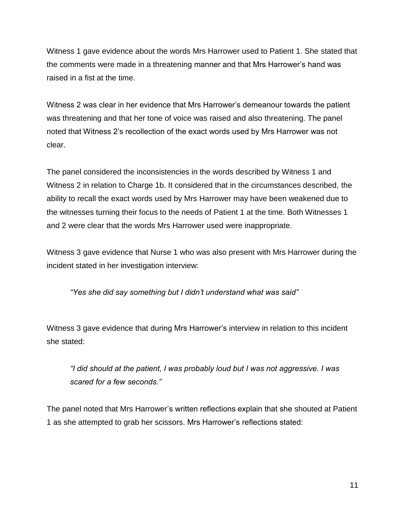Witness 1 gave evidence about the words Mrs Harrower used to Patient 1. She stated that the comments were made in a threatening manner and that Mrs Harrower's hand was raised in a fist at the time.

Witness 2 was clear in her evidence that Mrs Harrower's demeanour towards the patient was threatening and that her tone of voice was raised and also threatening. The panel noted that Witness 2's recollection of the exact words used by Mrs Harrower was not clear.

The panel considered the inconsistencies in the words described by Witness 1 and Witness 2 in relation to Charge 1b. It considered that in the circumstances described, the ability to recall the exact words used by Mrs Harrower may have been weakened due to the witnesses turning their focus to the needs of Patient 1 at the time. Both Witnesses 1 and 2 were clear that the words Mrs Harrower used were inappropriate.

Witness 3 gave evidence that Nurse 1 who was also present with Mrs Harrower during the incident stated in her investigation interview:

*"Yes she did say something but I didn't understand what was said"*

Witness 3 gave evidence that during Mrs Harrower's interview in relation to this incident she stated:

*"I did should at the patient, I was probably loud but I was not aggressive. I was scared for a few seconds."*

The panel noted that Mrs Harrower's written reflections explain that she shouted at Patient 1 as she attempted to grab her scissors. Mrs Harrower's reflections stated: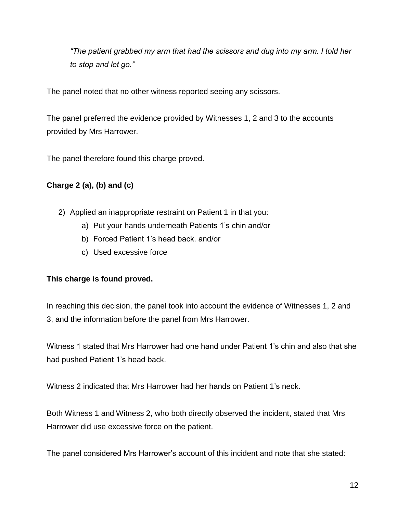*"The patient grabbed my arm that had the scissors and dug into my arm. I told her to stop and let go."*

The panel noted that no other witness reported seeing any scissors.

The panel preferred the evidence provided by Witnesses 1, 2 and 3 to the accounts provided by Mrs Harrower.

The panel therefore found this charge proved.

## **Charge 2 (a), (b) and (c)**

- 2) Applied an inappropriate restraint on Patient 1 in that you:
	- a) Put your hands underneath Patients 1's chin and/or
	- b) Forced Patient 1's head back. and/or
	- c) Used excessive force

## **This charge is found proved.**

In reaching this decision, the panel took into account the evidence of Witnesses 1, 2 and 3, and the information before the panel from Mrs Harrower.

Witness 1 stated that Mrs Harrower had one hand under Patient 1's chin and also that she had pushed Patient 1's head back.

Witness 2 indicated that Mrs Harrower had her hands on Patient 1's neck.

Both Witness 1 and Witness 2, who both directly observed the incident, stated that Mrs Harrower did use excessive force on the patient.

The panel considered Mrs Harrower's account of this incident and note that she stated: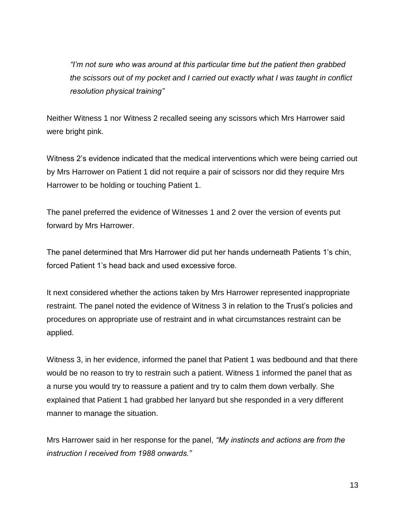*"I'm not sure who was around at this particular time but the patient then grabbed the scissors out of my pocket and I carried out exactly what I was taught in conflict resolution physical training"*

Neither Witness 1 nor Witness 2 recalled seeing any scissors which Mrs Harrower said were bright pink.

Witness 2's evidence indicated that the medical interventions which were being carried out by Mrs Harrower on Patient 1 did not require a pair of scissors nor did they require Mrs Harrower to be holding or touching Patient 1.

The panel preferred the evidence of Witnesses 1 and 2 over the version of events put forward by Mrs Harrower.

The panel determined that Mrs Harrower did put her hands underneath Patients 1's chin, forced Patient 1's head back and used excessive force.

It next considered whether the actions taken by Mrs Harrower represented inappropriate restraint. The panel noted the evidence of Witness 3 in relation to the Trust's policies and procedures on appropriate use of restraint and in what circumstances restraint can be applied.

Witness 3, in her evidence, informed the panel that Patient 1 was bedbound and that there would be no reason to try to restrain such a patient. Witness 1 informed the panel that as a nurse you would try to reassure a patient and try to calm them down verbally. She explained that Patient 1 had grabbed her lanyard but she responded in a very different manner to manage the situation.

Mrs Harrower said in her response for the panel, *"My instincts and actions are from the instruction I received from 1988 onwards."*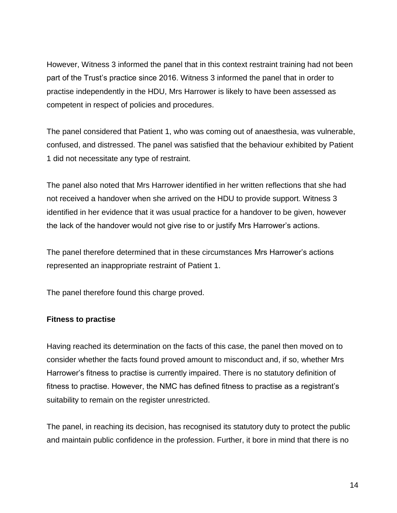However, Witness 3 informed the panel that in this context restraint training had not been part of the Trust's practice since 2016. Witness 3 informed the panel that in order to practise independently in the HDU, Mrs Harrower is likely to have been assessed as competent in respect of policies and procedures.

The panel considered that Patient 1, who was coming out of anaesthesia, was vulnerable, confused, and distressed. The panel was satisfied that the behaviour exhibited by Patient 1 did not necessitate any type of restraint.

The panel also noted that Mrs Harrower identified in her written reflections that she had not received a handover when she arrived on the HDU to provide support. Witness 3 identified in her evidence that it was usual practice for a handover to be given, however the lack of the handover would not give rise to or justify Mrs Harrower's actions.

The panel therefore determined that in these circumstances Mrs Harrower's actions represented an inappropriate restraint of Patient 1.

The panel therefore found this charge proved.

#### **Fitness to practise**

Having reached its determination on the facts of this case, the panel then moved on to consider whether the facts found proved amount to misconduct and, if so, whether Mrs Harrower's fitness to practise is currently impaired. There is no statutory definition of fitness to practise. However, the NMC has defined fitness to practise as a registrant's suitability to remain on the register unrestricted.

The panel, in reaching its decision, has recognised its statutory duty to protect the public and maintain public confidence in the profession. Further, it bore in mind that there is no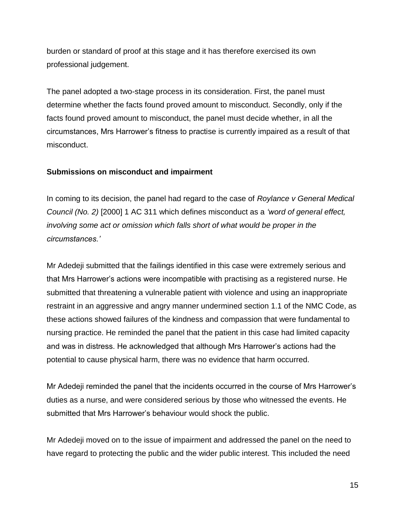burden or standard of proof at this stage and it has therefore exercised its own professional judgement.

The panel adopted a two-stage process in its consideration. First, the panel must determine whether the facts found proved amount to misconduct. Secondly, only if the facts found proved amount to misconduct, the panel must decide whether, in all the circumstances, Mrs Harrower's fitness to practise is currently impaired as a result of that misconduct.

#### **Submissions on misconduct and impairment**

In coming to its decision, the panel had regard to the case of *Roylance v General Medical Council (No. 2)* [2000] 1 AC 311 which defines misconduct as a *'word of general effect, involving some act or omission which falls short of what would be proper in the circumstances.'*

Mr Adedeji submitted that the failings identified in this case were extremely serious and that Mrs Harrower's actions were incompatible with practising as a registered nurse. He submitted that threatening a vulnerable patient with violence and using an inappropriate restraint in an aggressive and angry manner undermined section 1.1 of the NMC Code, as these actions showed failures of the kindness and compassion that were fundamental to nursing practice. He reminded the panel that the patient in this case had limited capacity and was in distress. He acknowledged that although Mrs Harrower's actions had the potential to cause physical harm, there was no evidence that harm occurred.

Mr Adedeji reminded the panel that the incidents occurred in the course of Mrs Harrower's duties as a nurse, and were considered serious by those who witnessed the events. He submitted that Mrs Harrower's behaviour would shock the public.

Mr Adedeji moved on to the issue of impairment and addressed the panel on the need to have regard to protecting the public and the wider public interest. This included the need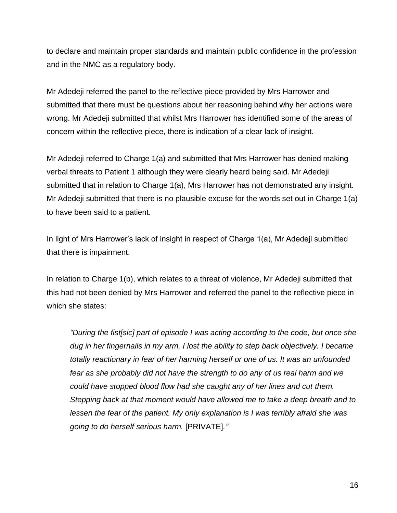to declare and maintain proper standards and maintain public confidence in the profession and in the NMC as a regulatory body.

Mr Adedeji referred the panel to the reflective piece provided by Mrs Harrower and submitted that there must be questions about her reasoning behind why her actions were wrong. Mr Adedeji submitted that whilst Mrs Harrower has identified some of the areas of concern within the reflective piece, there is indication of a clear lack of insight.

Mr Adedeji referred to Charge 1(a) and submitted that Mrs Harrower has denied making verbal threats to Patient 1 although they were clearly heard being said. Mr Adedeji submitted that in relation to Charge 1(a), Mrs Harrower has not demonstrated any insight. Mr Adedeji submitted that there is no plausible excuse for the words set out in Charge 1(a) to have been said to a patient.

In light of Mrs Harrower's lack of insight in respect of Charge 1(a), Mr Adedeji submitted that there is impairment.

In relation to Charge 1(b), which relates to a threat of violence, Mr Adedeji submitted that this had not been denied by Mrs Harrower and referred the panel to the reflective piece in which she states:

*"During the fist[sic] part of episode I was acting according to the code, but once she dug in her fingernails in my arm, I lost the ability to step back objectively. I became totally reactionary in fear of her harming herself or one of us. It was an unfounded fear as she probably did not have the strength to do any of us real harm and we could have stopped blood flow had she caught any of her lines and cut them. Stepping back at that moment would have allowed me to take a deep breath and to lessen the fear of the patient. My only explanation is I was terribly afraid she was going to do herself serious harm.* [PRIVATE]*."*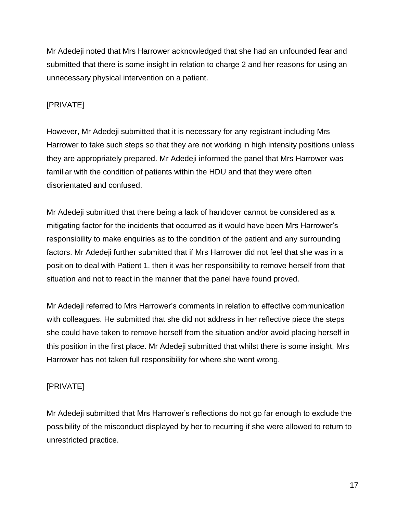Mr Adedeji noted that Mrs Harrower acknowledged that she had an unfounded fear and submitted that there is some insight in relation to charge 2 and her reasons for using an unnecessary physical intervention on a patient.

## [PRIVATE]

However, Mr Adedeji submitted that it is necessary for any registrant including Mrs Harrower to take such steps so that they are not working in high intensity positions unless they are appropriately prepared. Mr Adedeji informed the panel that Mrs Harrower was familiar with the condition of patients within the HDU and that they were often disorientated and confused.

Mr Adedeji submitted that there being a lack of handover cannot be considered as a mitigating factor for the incidents that occurred as it would have been Mrs Harrower's responsibility to make enquiries as to the condition of the patient and any surrounding factors. Mr Adedeji further submitted that if Mrs Harrower did not feel that she was in a position to deal with Patient 1, then it was her responsibility to remove herself from that situation and not to react in the manner that the panel have found proved.

Mr Adedeji referred to Mrs Harrower's comments in relation to effective communication with colleagues. He submitted that she did not address in her reflective piece the steps she could have taken to remove herself from the situation and/or avoid placing herself in this position in the first place. Mr Adedeji submitted that whilst there is some insight, Mrs Harrower has not taken full responsibility for where she went wrong.

## [PRIVATE]

Mr Adedeji submitted that Mrs Harrower's reflections do not go far enough to exclude the possibility of the misconduct displayed by her to recurring if she were allowed to return to unrestricted practice.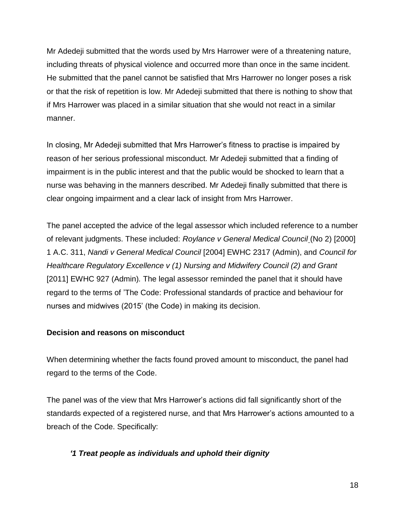Mr Adedeji submitted that the words used by Mrs Harrower were of a threatening nature, including threats of physical violence and occurred more than once in the same incident. He submitted that the panel cannot be satisfied that Mrs Harrower no longer poses a risk or that the risk of repetition is low. Mr Adedeji submitted that there is nothing to show that if Mrs Harrower was placed in a similar situation that she would not react in a similar manner.

In closing, Mr Adedeji submitted that Mrs Harrower's fitness to practise is impaired by reason of her serious professional misconduct. Mr Adedeji submitted that a finding of impairment is in the public interest and that the public would be shocked to learn that a nurse was behaving in the manners described. Mr Adedeji finally submitted that there is clear ongoing impairment and a clear lack of insight from Mrs Harrower.

The panel accepted the advice of the legal assessor which included reference to a number of relevant judgments. These included: *Roylance v General Medical Council* (No 2) [2000] 1 A.C. 311, *Nandi v General Medical Council* [2004] EWHC 2317 (Admin), and *Council for Healthcare Regulatory Excellence v (1) Nursing and Midwifery Council (2) and Grant*  [2011] EWHC 927 (Admin)*.* The legal assessor reminded the panel that it should have regard to the terms of 'The Code: Professional standards of practice and behaviour for nurses and midwives (2015' (the Code) in making its decision.

#### **Decision and reasons on misconduct**

When determining whether the facts found proved amount to misconduct, the panel had regard to the terms of the Code.

The panel was of the view that Mrs Harrower's actions did fall significantly short of the standards expected of a registered nurse, and that Mrs Harrower's actions amounted to a breach of the Code. Specifically:

## *'1 Treat people as individuals and uphold their dignity*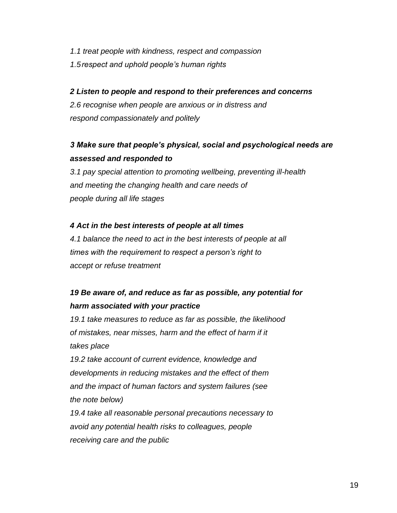*1.1 treat people with kindness, respect and compassion 1.5respect and uphold people's human rights*

#### *2 Listen to people and respond to their preferences and concerns*

*2.6 recognise when people are anxious or in distress and respond compassionately and politely*

# *3 Make sure that people's physical, social and psychological needs are assessed and responded to*

*3.1 pay special attention to promoting wellbeing, preventing ill-health and meeting the changing health and care needs of people during all life stages*

#### *4 Act in the best interests of people at all times*

*4.1 balance the need to act in the best interests of people at all times with the requirement to respect a person's right to accept or refuse treatment*

# *19 Be aware of, and reduce as far as possible, any potential for harm associated with your practice*

*19.1 take measures to reduce as far as possible, the likelihood of mistakes, near misses, harm and the effect of harm if it takes place*

*19.2 take account of current evidence, knowledge and developments in reducing mistakes and the effect of them and the impact of human factors and system failures (see the note below)*

*19.4 take all reasonable personal precautions necessary to avoid any potential health risks to colleagues, people receiving care and the public*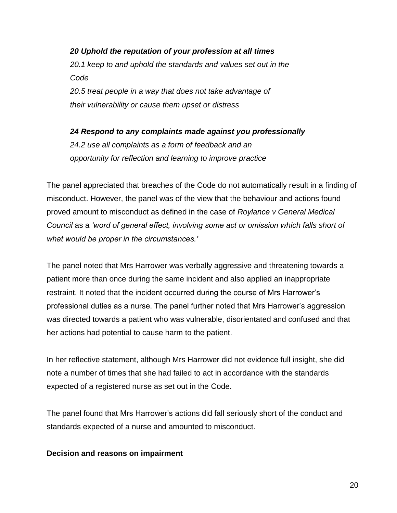*20 Uphold the reputation of your profession at all times 20.1 keep to and uphold the standards and values set out in the Code 20.5 treat people in a way that does not take advantage of their vulnerability or cause them upset or distress*

*24 Respond to any complaints made against you professionally 24.2 use all complaints as a form of feedback and an opportunity for reflection and learning to improve practice*

The panel appreciated that breaches of the Code do not automatically result in a finding of misconduct. However, the panel was of the view that the behaviour and actions found proved amount to misconduct as defined in the case of *Roylance v General Medical Council* as a *'word of general effect, involving some act or omission which falls short of what would be proper in the circumstances.'*

The panel noted that Mrs Harrower was verbally aggressive and threatening towards a patient more than once during the same incident and also applied an inappropriate restraint. It noted that the incident occurred during the course of Mrs Harrower's professional duties as a nurse. The panel further noted that Mrs Harrower's aggression was directed towards a patient who was vulnerable, disorientated and confused and that her actions had potential to cause harm to the patient.

In her reflective statement, although Mrs Harrower did not evidence full insight, she did note a number of times that she had failed to act in accordance with the standards expected of a registered nurse as set out in the Code.

The panel found that Mrs Harrower's actions did fall seriously short of the conduct and standards expected of a nurse and amounted to misconduct.

#### **Decision and reasons on impairment**

20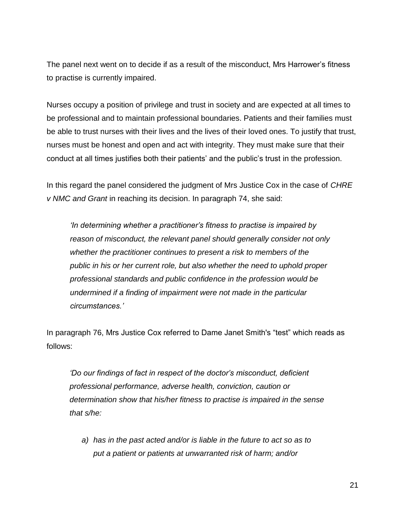The panel next went on to decide if as a result of the misconduct, Mrs Harrower's fitness to practise is currently impaired.

Nurses occupy a position of privilege and trust in society and are expected at all times to be professional and to maintain professional boundaries. Patients and their families must be able to trust nurses with their lives and the lives of their loved ones. To justify that trust, nurses must be honest and open and act with integrity. They must make sure that their conduct at all times justifies both their patients' and the public's trust in the profession.

In this regard the panel considered the judgment of Mrs Justice Cox in the case of *CHRE v NMC and Grant* in reaching its decision. In paragraph 74, she said:

*'In determining whether a practitioner's fitness to practise is impaired by reason of misconduct, the relevant panel should generally consider not only whether the practitioner continues to present a risk to members of the public in his or her current role, but also whether the need to uphold proper professional standards and public confidence in the profession would be undermined if a finding of impairment were not made in the particular circumstances.'*

In paragraph 76, Mrs Justice Cox referred to Dame Janet Smith's "test" which reads as follows:

*'Do our findings of fact in respect of the doctor's misconduct, deficient professional performance, adverse health, conviction, caution or determination show that his/her fitness to practise is impaired in the sense that s/he:*

*a) has in the past acted and/or is liable in the future to act so as to put a patient or patients at unwarranted risk of harm; and/or*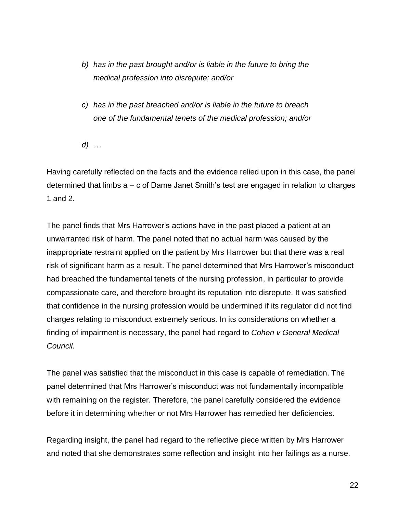- *b) has in the past brought and/or is liable in the future to bring the medical profession into disrepute; and/or*
- *c) has in the past breached and/or is liable in the future to breach one of the fundamental tenets of the medical profession; and/or*
- *d) …*

Having carefully reflected on the facts and the evidence relied upon in this case, the panel determined that limbs a – c of Dame Janet Smith's test are engaged in relation to charges 1 and 2.

The panel finds that Mrs Harrower's actions have in the past placed a patient at an unwarranted risk of harm. The panel noted that no actual harm was caused by the inappropriate restraint applied on the patient by Mrs Harrower but that there was a real risk of significant harm as a result. The panel determined that Mrs Harrower's misconduct had breached the fundamental tenets of the nursing profession, in particular to provide compassionate care, and therefore brought its reputation into disrepute. It was satisfied that confidence in the nursing profession would be undermined if its regulator did not find charges relating to misconduct extremely serious. In its considerations on whether a finding of impairment is necessary, the panel had regard to *Cohen v General Medical Council.* 

The panel was satisfied that the misconduct in this case is capable of remediation. The panel determined that Mrs Harrower's misconduct was not fundamentally incompatible with remaining on the register. Therefore, the panel carefully considered the evidence before it in determining whether or not Mrs Harrower has remedied her deficiencies.

Regarding insight, the panel had regard to the reflective piece written by Mrs Harrower and noted that she demonstrates some reflection and insight into her failings as a nurse.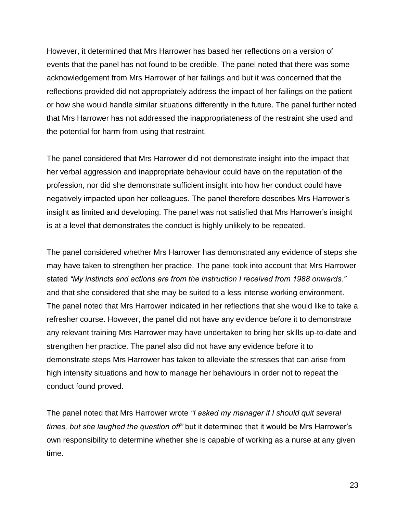However, it determined that Mrs Harrower has based her reflections on a version of events that the panel has not found to be credible. The panel noted that there was some acknowledgement from Mrs Harrower of her failings and but it was concerned that the reflections provided did not appropriately address the impact of her failings on the patient or how she would handle similar situations differently in the future. The panel further noted that Mrs Harrower has not addressed the inappropriateness of the restraint she used and the potential for harm from using that restraint.

The panel considered that Mrs Harrower did not demonstrate insight into the impact that her verbal aggression and inappropriate behaviour could have on the reputation of the profession, nor did she demonstrate sufficient insight into how her conduct could have negatively impacted upon her colleagues. The panel therefore describes Mrs Harrower's insight as limited and developing. The panel was not satisfied that Mrs Harrower's insight is at a level that demonstrates the conduct is highly unlikely to be repeated.

The panel considered whether Mrs Harrower has demonstrated any evidence of steps she may have taken to strengthen her practice. The panel took into account that Mrs Harrower stated *"My instincts and actions are from the instruction I received from 1988 onwards."* and that she considered that she may be suited to a less intense working environment. The panel noted that Mrs Harrower indicated in her reflections that she would like to take a refresher course. However, the panel did not have any evidence before it to demonstrate any relevant training Mrs Harrower may have undertaken to bring her skills up-to-date and strengthen her practice. The panel also did not have any evidence before it to demonstrate steps Mrs Harrower has taken to alleviate the stresses that can arise from high intensity situations and how to manage her behaviours in order not to repeat the conduct found proved.

The panel noted that Mrs Harrower wrote *"I asked my manager if I should quit several times, but she laughed the question off"* but it determined that it would be Mrs Harrower's own responsibility to determine whether she is capable of working as a nurse at any given time.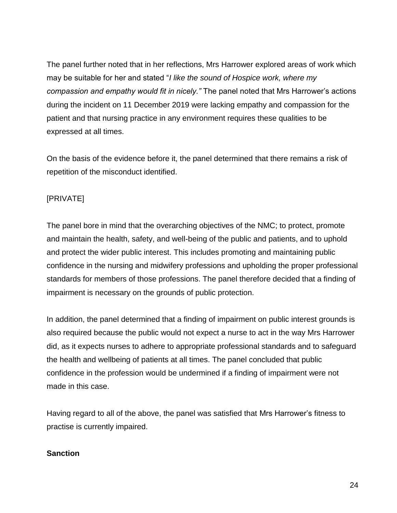The panel further noted that in her reflections, Mrs Harrower explored areas of work which may be suitable for her and stated "*I like the sound of Hospice work, where my compassion and empathy would fit in nicely."* The panel noted that Mrs Harrower's actions during the incident on 11 December 2019 were lacking empathy and compassion for the patient and that nursing practice in any environment requires these qualities to be expressed at all times.

On the basis of the evidence before it, the panel determined that there remains a risk of repetition of the misconduct identified.

## [PRIVATE]

The panel bore in mind that the overarching objectives of the NMC; to protect, promote and maintain the health, safety, and well-being of the public and patients, and to uphold and protect the wider public interest. This includes promoting and maintaining public confidence in the nursing and midwifery professions and upholding the proper professional standards for members of those professions. The panel therefore decided that a finding of impairment is necessary on the grounds of public protection.

In addition, the panel determined that a finding of impairment on public interest grounds is also required because the public would not expect a nurse to act in the way Mrs Harrower did, as it expects nurses to adhere to appropriate professional standards and to safeguard the health and wellbeing of patients at all times. The panel concluded that public confidence in the profession would be undermined if a finding of impairment were not made in this case.

Having regard to all of the above, the panel was satisfied that Mrs Harrower's fitness to practise is currently impaired.

#### **Sanction**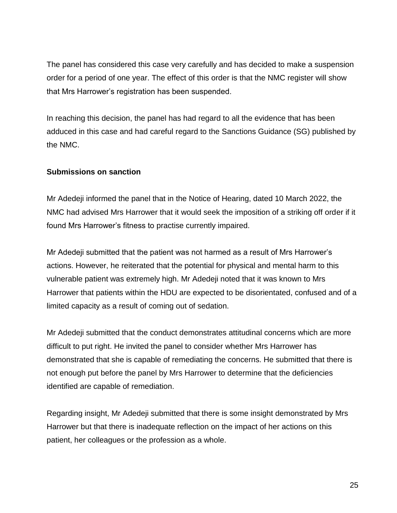The panel has considered this case very carefully and has decided to make a suspension order for a period of one year. The effect of this order is that the NMC register will show that Mrs Harrower's registration has been suspended.

In reaching this decision, the panel has had regard to all the evidence that has been adduced in this case and had careful regard to the Sanctions Guidance (SG) published by the NMC.

#### **Submissions on sanction**

Mr Adedeji informed the panel that in the Notice of Hearing, dated 10 March 2022, the NMC had advised Mrs Harrower that it would seek the imposition of a striking off order if it found Mrs Harrower's fitness to practise currently impaired.

Mr Adedeji submitted that the patient was not harmed as a result of Mrs Harrower's actions. However, he reiterated that the potential for physical and mental harm to this vulnerable patient was extremely high. Mr Adedeji noted that it was known to Mrs Harrower that patients within the HDU are expected to be disorientated, confused and of a limited capacity as a result of coming out of sedation.

Mr Adedeji submitted that the conduct demonstrates attitudinal concerns which are more difficult to put right. He invited the panel to consider whether Mrs Harrower has demonstrated that she is capable of remediating the concerns. He submitted that there is not enough put before the panel by Mrs Harrower to determine that the deficiencies identified are capable of remediation.

Regarding insight, Mr Adedeji submitted that there is some insight demonstrated by Mrs Harrower but that there is inadequate reflection on the impact of her actions on this patient, her colleagues or the profession as a whole.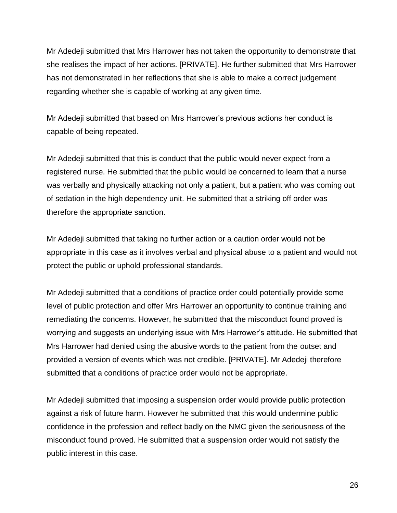Mr Adedeji submitted that Mrs Harrower has not taken the opportunity to demonstrate that she realises the impact of her actions. [PRIVATE]. He further submitted that Mrs Harrower has not demonstrated in her reflections that she is able to make a correct judgement regarding whether she is capable of working at any given time.

Mr Adedeji submitted that based on Mrs Harrower's previous actions her conduct is capable of being repeated.

Mr Adedeji submitted that this is conduct that the public would never expect from a registered nurse. He submitted that the public would be concerned to learn that a nurse was verbally and physically attacking not only a patient, but a patient who was coming out of sedation in the high dependency unit. He submitted that a striking off order was therefore the appropriate sanction.

Mr Adedeji submitted that taking no further action or a caution order would not be appropriate in this case as it involves verbal and physical abuse to a patient and would not protect the public or uphold professional standards.

Mr Adedeji submitted that a conditions of practice order could potentially provide some level of public protection and offer Mrs Harrower an opportunity to continue training and remediating the concerns. However, he submitted that the misconduct found proved is worrying and suggests an underlying issue with Mrs Harrower's attitude. He submitted that Mrs Harrower had denied using the abusive words to the patient from the outset and provided a version of events which was not credible. [PRIVATE]. Mr Adedeji therefore submitted that a conditions of practice order would not be appropriate.

Mr Adedeji submitted that imposing a suspension order would provide public protection against a risk of future harm. However he submitted that this would undermine public confidence in the profession and reflect badly on the NMC given the seriousness of the misconduct found proved. He submitted that a suspension order would not satisfy the public interest in this case.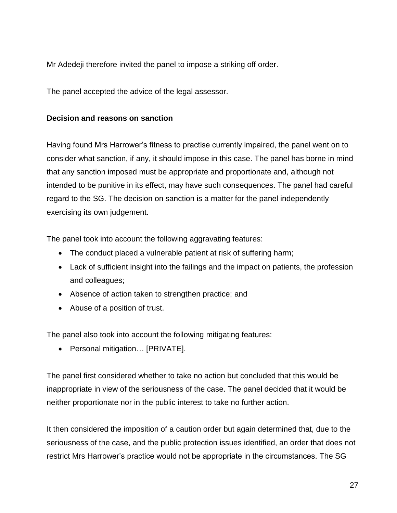Mr Adedeji therefore invited the panel to impose a striking off order.

The panel accepted the advice of the legal assessor.

#### **Decision and reasons on sanction**

Having found Mrs Harrower's fitness to practise currently impaired, the panel went on to consider what sanction, if any, it should impose in this case. The panel has borne in mind that any sanction imposed must be appropriate and proportionate and, although not intended to be punitive in its effect, may have such consequences. The panel had careful regard to the SG. The decision on sanction is a matter for the panel independently exercising its own judgement.

The panel took into account the following aggravating features:

- The conduct placed a vulnerable patient at risk of suffering harm;
- Lack of sufficient insight into the failings and the impact on patients, the profession and colleagues;
- Absence of action taken to strengthen practice; and
- Abuse of a position of trust.

The panel also took into account the following mitigating features:

• Personal mitigation... [PRIVATE].

The panel first considered whether to take no action but concluded that this would be inappropriate in view of the seriousness of the case. The panel decided that it would be neither proportionate nor in the public interest to take no further action.

It then considered the imposition of a caution order but again determined that, due to the seriousness of the case, and the public protection issues identified, an order that does not restrict Mrs Harrower's practice would not be appropriate in the circumstances. The SG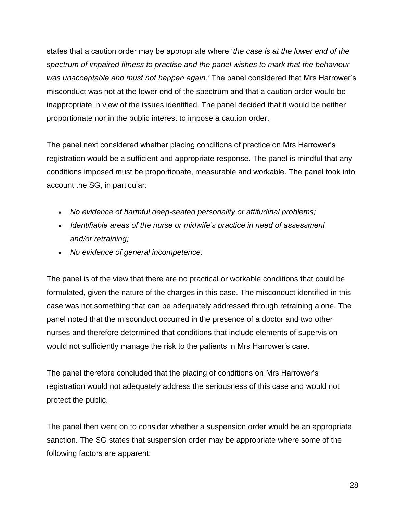states that a caution order may be appropriate where '*the case is at the lower end of the spectrum of impaired fitness to practise and the panel wishes to mark that the behaviour was unacceptable and must not happen again.'* The panel considered that Mrs Harrower's misconduct was not at the lower end of the spectrum and that a caution order would be inappropriate in view of the issues identified. The panel decided that it would be neither proportionate nor in the public interest to impose a caution order.

The panel next considered whether placing conditions of practice on Mrs Harrower's registration would be a sufficient and appropriate response. The panel is mindful that any conditions imposed must be proportionate, measurable and workable. The panel took into account the SG, in particular:

- *No evidence of harmful deep-seated personality or attitudinal problems;*
- *Identifiable areas of the nurse or midwife's practice in need of assessment and/or retraining;*
- *No evidence of general incompetence;*

The panel is of the view that there are no practical or workable conditions that could be formulated, given the nature of the charges in this case. The misconduct identified in this case was not something that can be adequately addressed through retraining alone. The panel noted that the misconduct occurred in the presence of a doctor and two other nurses and therefore determined that conditions that include elements of supervision would not sufficiently manage the risk to the patients in Mrs Harrower's care.

The panel therefore concluded that the placing of conditions on Mrs Harrower's registration would not adequately address the seriousness of this case and would not protect the public.

The panel then went on to consider whether a suspension order would be an appropriate sanction. The SG states that suspension order may be appropriate where some of the following factors are apparent: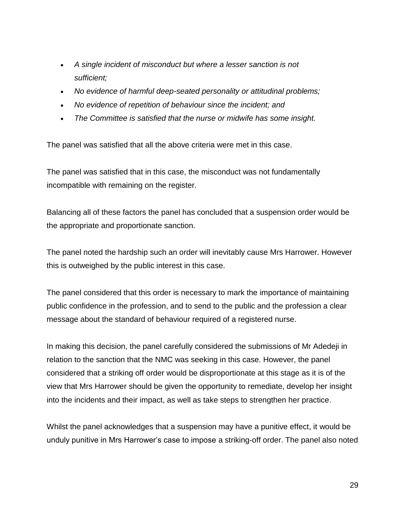- *A single incident of misconduct but where a lesser sanction is not sufficient;*
- *No evidence of harmful deep-seated personality or attitudinal problems;*
- *No evidence of repetition of behaviour since the incident; and*
- *The Committee is satisfied that the nurse or midwife has some insight.*

The panel was satisfied that all the above criteria were met in this case.

The panel was satisfied that in this case, the misconduct was not fundamentally incompatible with remaining on the register.

Balancing all of these factors the panel has concluded that a suspension order would be the appropriate and proportionate sanction.

The panel noted the hardship such an order will inevitably cause Mrs Harrower. However this is outweighed by the public interest in this case.

The panel considered that this order is necessary to mark the importance of maintaining public confidence in the profession, and to send to the public and the profession a clear message about the standard of behaviour required of a registered nurse.

In making this decision, the panel carefully considered the submissions of Mr Adedeji in relation to the sanction that the NMC was seeking in this case. However, the panel considered that a striking off order would be disproportionate at this stage as it is of the view that Mrs Harrower should be given the opportunity to remediate, develop her insight into the incidents and their impact, as well as take steps to strengthen her practice.

Whilst the panel acknowledges that a suspension may have a punitive effect, it would be unduly punitive in Mrs Harrower's case to impose a striking-off order. The panel also noted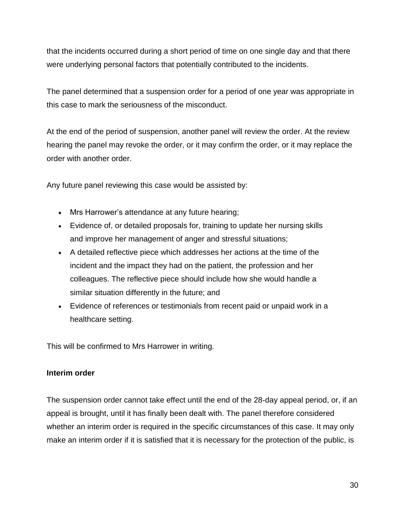that the incidents occurred during a short period of time on one single day and that there were underlying personal factors that potentially contributed to the incidents.

The panel determined that a suspension order for a period of one year was appropriate in this case to mark the seriousness of the misconduct.

At the end of the period of suspension, another panel will review the order. At the review hearing the panel may revoke the order, or it may confirm the order, or it may replace the order with another order.

Any future panel reviewing this case would be assisted by:

- Mrs Harrower's attendance at any future hearing;
- Evidence of, or detailed proposals for, training to update her nursing skills and improve her management of anger and stressful situations;
- A detailed reflective piece which addresses her actions at the time of the incident and the impact they had on the patient, the profession and her colleagues. The reflective piece should include how she would handle a similar situation differently in the future; and
- Evidence of references or testimonials from recent paid or unpaid work in a healthcare setting.

This will be confirmed to Mrs Harrower in writing.

#### **Interim order**

The suspension order cannot take effect until the end of the 28-day appeal period, or, if an appeal is brought, until it has finally been dealt with. The panel therefore considered whether an interim order is required in the specific circumstances of this case. It may only make an interim order if it is satisfied that it is necessary for the protection of the public, is